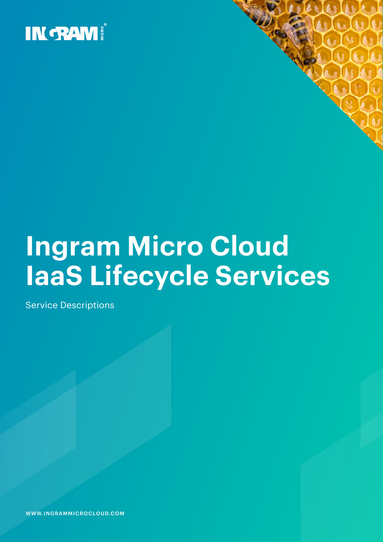

# **Ingram Micro Cloud IaaS Lifecycle Services**

Service Descriptions

WWW.INGRAMMICROCLOUD.COM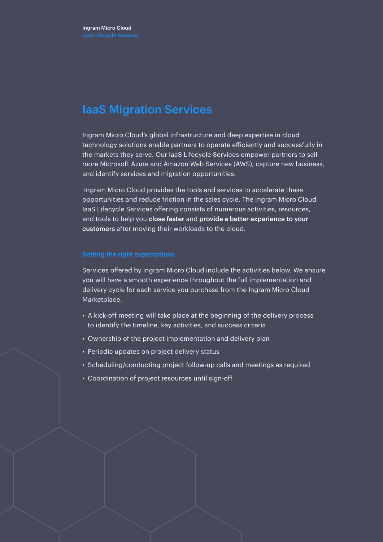### IaaS Migration Services

Ingram Micro Cloud's global infrastructure and deep expertise in cloud technology solutions enable partners to operate efficiently and successfully in the markets they serve. Our IaaS Lifecycle Services empower partners to sell more Microsoft Azure and Amazon Web Services (AWS), capture new business, and identify services and migration opportunities.

Ingram Micro Cloud provides the tools and services to accelerate these opportunities and reduce friction in the sales cycle. The Ingram Micro Cloud IaaS Lifecycle Services offering consists of numerous activities, resources, and tools to help you close faster and provide a better experience to your customers after moving their workloads to the cloud.

Services offered by Ingram Micro Cloud include the activities below. We ensure you will have a smooth experience throughout the full implementation and delivery cycle for each service you purchase from the Ingram Micro Cloud Marketplace.

- A kick-off meeting will take place at the beginning of the delivery process to identify the timeline, key activities, and success criteria
- Ownership of the project implementation and delivery plan
- Periodic updates on project delivery status
- Scheduling/conducting project follow-up calls and meetings as required
- Coordination of project resources until sign-off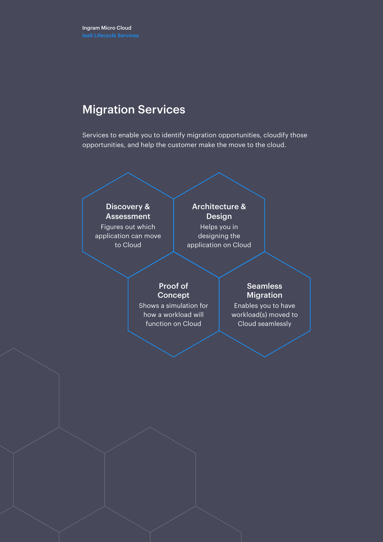### Migration Services

Services to enable you to identify migration opportunities, cloudify those opportunities, and help the customer make the move to the cloud.

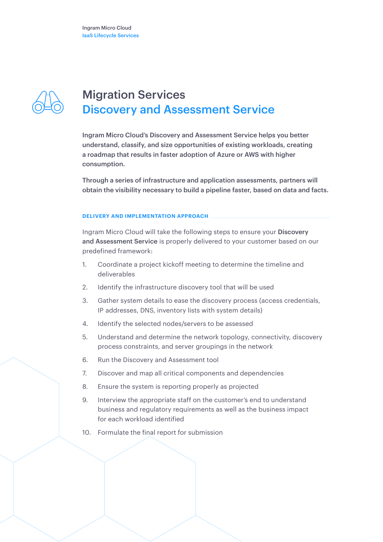

### Migration Services Discovery and Assessment Service

Ingram Micro Cloud's Discovery and Assessment Service helps you better understand, classify, and size opportunities of existing workloads, creating a roadmap that results in faster adoption of Azure or AWS with higher consumption.

Through a series of infrastructure and application assessments, partners will obtain the visibility necessary to build a pipeline faster, based on data and facts.

#### **DELIVERY AND IMPLEMENTATION APPROACH**

Ingram Micro Cloud will take the following steps to ensure your Discovery and Assessment Service is properly delivered to your customer based on our predefined framework:

- 1. Coordinate a project kickoff meeting to determine the timeline and deliverables
- 2. Identify the infrastructure discovery tool that will be used
- 3. Gather system details to ease the discovery process (access credentials, IP addresses, DNS, inventory lists with system details)
- 4. Identify the selected nodes/servers to be assessed
- 5. Understand and determine the network topology, connectivity, discovery process constraints, and server groupings in the network
- 6. Run the Discovery and Assessment tool
- 7. Discover and map all critical components and dependencies
- 8. Ensure the system is reporting properly as projected
- 9. Interview the appropriate staff on the customer's end to understand business and regulatory requirements as well as the business impact for each workload identified
- 10. Formulate the final report for submission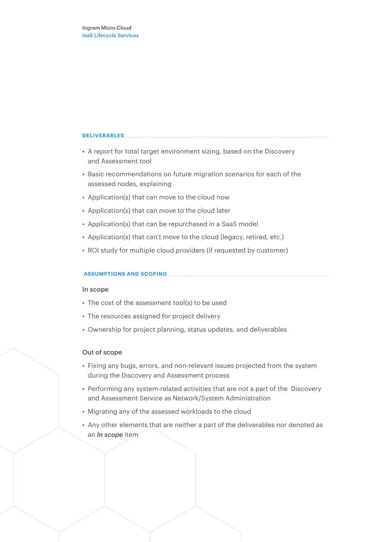- A report for total target environment sizing, based on the Discovery and Assessment tool
- Basic recommendations on future migration scenarios for each of the assessed nodes, explaining
- Application(s) that can move to the cloud now
- Application(s) that can move to the cloud later
- Application(s) that can be repurchased in a SaaS model
- Application(s) that can't move to the cloud (legacy, retired, etc.)
- ROI study for multiple cloud providers (if requested by customer)

#### **ASSUMPTIONS AND SCOPING**

#### In scope

- The cost of the assessment tool(s) to be used
- The resources assigned for project delivery
- Ownership for project planning, status updates, and deliverables

#### Out of scope

- Fixing any bugs, errors, and non-relevant issues projected from the system during the Discovery and Assessment process
- Performing any system-related activities that are not a part of the Discovery and Assessment Service as Network/System Administration
- Migrating any of the assessed workloads to the cloud
- Any other elements that are neither a part of the deliverables nor denoted as an *In scope* item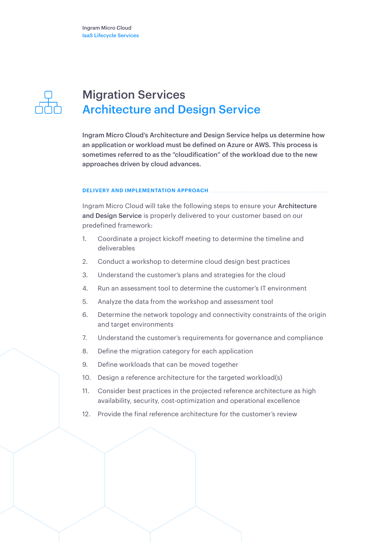

### Migration Services Architecture and Design Service

Ingram Micro Cloud's Architecture and Design Service helps us determine how an application or workload must be defined on Azure or AWS. This process is sometimes referred to as the "cloudification" of the workload due to the new approaches driven by cloud advances.

#### **DELIVERY AND IMPLEMENTATION APPROACH**

Ingram Micro Cloud will take the following steps to ensure your Architecture and Design Service is properly delivered to your customer based on our predefined framework:

- 1. Coordinate a project kickoff meeting to determine the timeline and deliverables
- 2. Conduct a workshop to determine cloud design best practices
- 3. Understand the customer's plans and strategies for the cloud
- 4. Run an assessment tool to determine the customer's IT environment
- 5. Analyze the data from the workshop and assessment tool
- 6. Determine the network topology and connectivity constraints of the origin and target environments
- 7. Understand the customer's requirements for governance and compliance
- 8. Define the migration category for each application
- 9. Define workloads that can be moved together
- 10. Design a reference architecture for the targeted workload(s)
- 11. Consider best practices in the projected reference architecture as high availability, security, cost-optimization and operational excellence
- 12. Provide the final reference architecture for the customer's review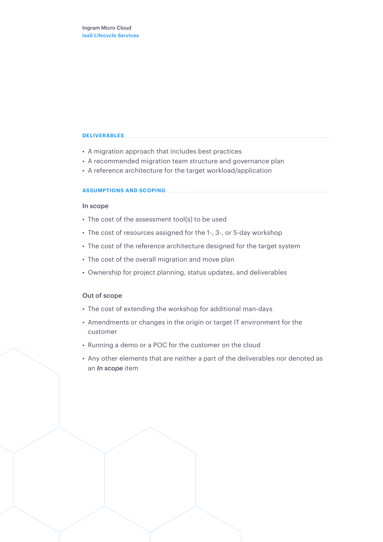- A migration approach that includes best practices
- A recommended migration team structure and governance plan
- A reference architecture for the target workload/application

#### **ASSUMPTIONS AND SCOPING**

#### In scope

- The cost of the assessment tool(s) to be used
- The cost of resources assigned for the 1-, 3-, or 5-day workshop
- The cost of the reference architecture designed for the target system
- The cost of the overall migration and move plan
- Ownership for project planning, status updates, and deliverables

#### Out of scope

- The cost of extending the workshop for additional man-days
- Amendments or changes in the origin or target IT environment for the customer
- Running a demo or a POC for the customer on the cloud
- Any other elements that are neither a part of the deliverables nor denoted as an *In scope* item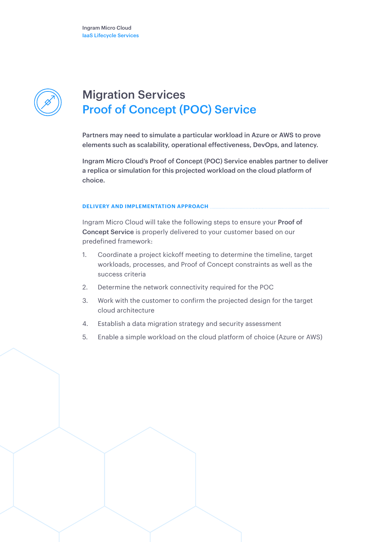

### Migration Services Proof of Concept (POC) Service

Partners may need to simulate a particular workload in Azure or AWS to prove elements such as scalability, operational effectiveness, DevOps, and latency.

Ingram Micro Cloud's Proof of Concept (POC) Service enables partner to deliver a replica or simulation for this projected workload on the cloud platform of choice.

#### **DELIVERY AND IMPLEMENTATION APPROACH**

Ingram Micro Cloud will take the following steps to ensure your Proof of Concept Service is properly delivered to your customer based on our predefined framework:

- 1. Coordinate a project kickoff meeting to determine the timeline, target workloads, processes, and Proof of Concept constraints as well as the success criteria
- 2. Determine the network connectivity required for the POC
- 3. Work with the customer to confirm the projected design for the target cloud architecture
- 4. Establish a data migration strategy and security assessment
- 5. Enable a simple workload on the cloud platform of choice (Azure or AWS)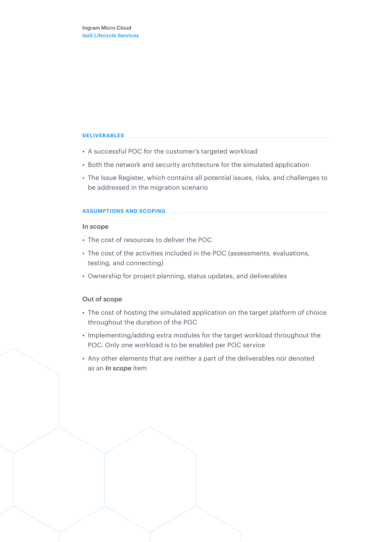- A successful POC for the customer's targeted workload
- Both the network and security architecture for the simulated application
- The Issue Register, which contains all potential issues, risks, and challenges to be addressed in the migration scenario

#### **ASSUMPTIONS AND SCOPING**

#### In scope

- The cost of resources to deliver the POC
- The cost of the activities included in the POC (assessments, evaluations, testing, and connecting)
- Ownership for project planning, status updates, and deliverables

### Out of scope

- The cost of hosting the simulated application on the target platform of choice throughout the duration of the POC
- Implementing/adding extra modules for the target workload throughout the POC. Only one workload is to be enabled per POC service
- Any other elements that are neither a part of the deliverables nor denoted as an *In scope* item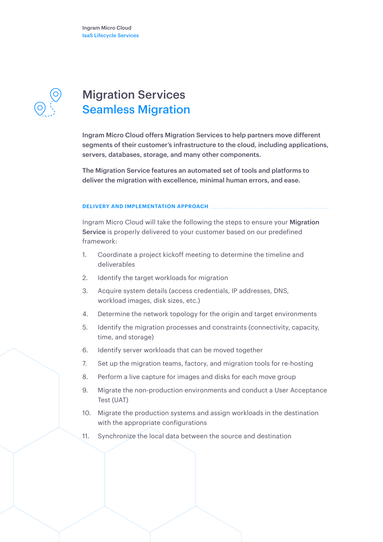Ingram Micro Cloud IaaS Lifecycle Services



### Migration Services Seamless Migration

Ingram Micro Cloud offers Migration Services to help partners move different segments of their customer's infrastructure to the cloud, including applications, servers, databases, storage, and many other components.

The Migration Service features an automated set of tools and platforms to deliver the migration with excellence, minimal human errors, and ease.

#### **DELIVERY AND IMPLEMENTATION APPROACH**

Ingram Micro Cloud will take the following the steps to ensure your Migration Service is properly delivered to your customer based on our predefined framework:

- 1. Coordinate a project kickoff meeting to determine the timeline and deliverables
- 2. Identify the target workloads for migration
- 3. Acquire system details (access credentials, IP addresses, DNS, workload images, disk sizes, etc.)
- 4. Determine the network topology for the origin and target environments
- 5. Identify the migration processes and constraints (connectivity, capacity, time, and storage)
- 6. Identify server workloads that can be moved together
- 7. Set up the migration teams, factory, and migration tools for re-hosting
- 8. Perform a live capture for images and disks for each move group
- 9. Migrate the non-production environments and conduct a User Acceptance Test (UAT)
- 10. Migrate the production systems and assign workloads in the destination with the appropriate configurations
- 11. Synchronize the local data between the source and destination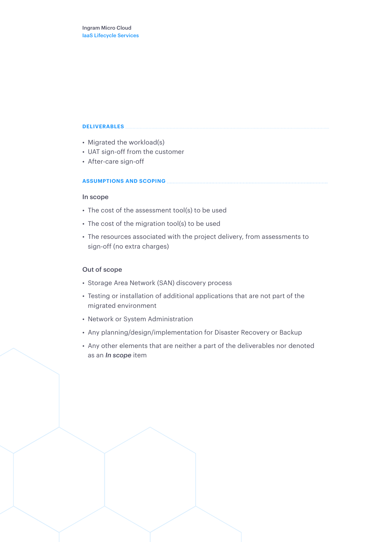- Migrated the workload(s)
- UAT sign-off from the customer
- After-care sign-off

#### **ASSUMPTIONS AND SCOPING**

#### In scope

- The cost of the assessment tool(s) to be used
- The cost of the migration tool(s) to be used
- The resources associated with the project delivery, from assessments to sign-off (no extra charges)

#### Out of scope

- Storage Area Network (SAN) discovery process
- Testing or installation of additional applications that are not part of the migrated environment
- Network or System Administration
- Any planning/design/implementation for Disaster Recovery or Backup
- Any other elements that are neither a part of the deliverables nor denoted as an *In scope* item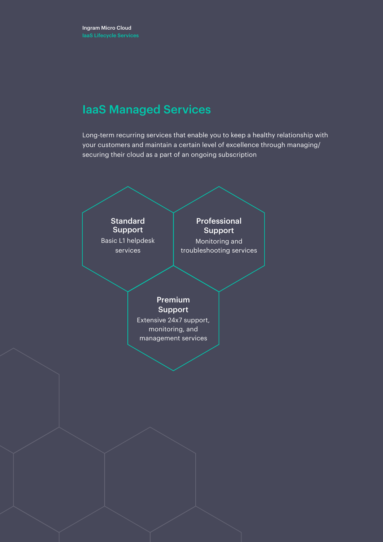### IaaS Managed Services

Long-term recurring services that enable you to keep a healthy relationship with your customers and maintain a certain level of excellence through managing/ securing their cloud as a part of an ongoing subscription

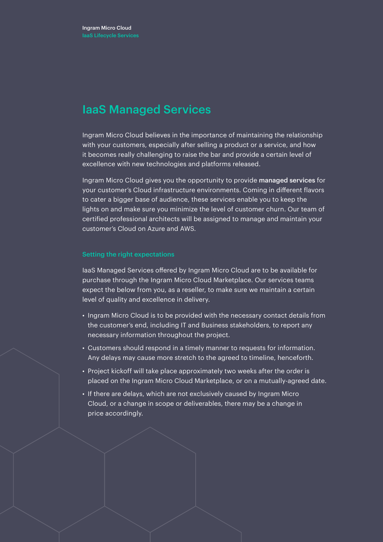### IaaS Managed Services

Ingram Micro Cloud believes in the importance of maintaining the relationship with your customers, especially after selling a product or a service, and how it becomes really challenging to raise the bar and provide a certain level of excellence with new technologies and platforms released.

Ingram Micro Cloud gives you the opportunity to provide managed services for your customer's Cloud infrastructure environments. Coming in different flavors to cater a bigger base of audience, these services enable you to keep the lights on and make sure you minimize the level of customer churn. Our team of certified professional architects will be assigned to manage and maintain your customer's Cloud on Azure and AWS.

#### Setting the right expectations

IaaS Managed Services offered by Ingram Micro Cloud are to be available for purchase through the Ingram Micro Cloud Marketplace. Our services teams expect the below from you, as a reseller, to make sure we maintain a certain level of quality and excellence in delivery.

- Ingram Micro Cloud is to be provided with the necessary contact details from the customer's end, including IT and Business stakeholders, to report any necessary information throughout the project.
- Customers should respond in a timely manner to requests for information. Any delays may cause more stretch to the agreed to timeline, henceforth.
- Project kickoff will take place approximately two weeks after the order is placed on the Ingram Micro Cloud Marketplace, or on a mutually-agreed date.
- If there are delays, which are not exclusively caused by Ingram Micro Cloud, or a change in scope or deliverables, there may be a change in price accordingly.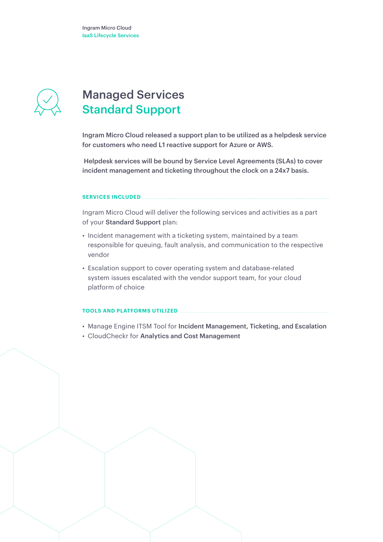

### Managed Services Standard Support

Ingram Micro Cloud released a support plan to be utilized as a helpdesk service for customers who need L1 reactive support for Azure or AWS.

Helpdesk services will be bound by Service Level Agreements (SLAs) to cover incident management and ticketing throughout the clock on a 24x7 basis.

#### **SERVICES INCLUDED**

Ingram Micro Cloud will deliver the following services and activities as a part of your Standard Support plan:

- Incident management with a ticketing system, maintained by a team responsible for queuing, fault analysis, and communication to the respective vendor
- Escalation support to cover operating system and database-related system issues escalated with the vendor support team, for your cloud platform of choice

#### **TOOLS AND PLATFORMS UTILIZED**

- Manage Engine ITSM Tool for Incident Management, Ticketing, and Escalation
- CloudCheckr for Analytics and Cost Management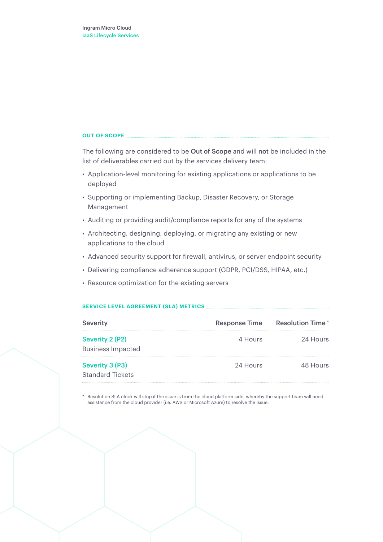#### **OUT OF SCOPE**

The following are considered to be Out of Scope and will not be included in the list of deliverables carried out by the services delivery team:

- Application-level monitoring for existing applications or applications to be deployed
- Supporting or implementing Backup, Disaster Recovery, or Storage Management
- Auditing or providing audit/compliance reports for any of the systems
- Architecting, designing, deploying, or migrating any existing or new applications to the cloud
- Advanced security support for firewall, antivirus, or server endpoint security
- Delivering compliance adherence support (GDPR, PCI/DSS, HIPAA, etc.)
- Resource optimization for the existing servers

#### **SERVICE LEVEL AGREEMENT (SLA) METRICS**

| <b>Severity</b>                             | <b>Response Time</b> | <b>Resolution Time</b> * |
|---------------------------------------------|----------------------|--------------------------|
| Severity 2 (P2)<br><b>Business Impacted</b> | 4 Hours              | 24 Hours                 |
| Severity 3 (P3)<br><b>Standard Tickets</b>  | 24 Hours             | 48 Hours                 |

Resolution SLA clock will stop if the issue is from the cloud platform side, whereby the support team will need assistance from the cloud provider (i.e. AWS or Microsoft Azure) to resolve the issue.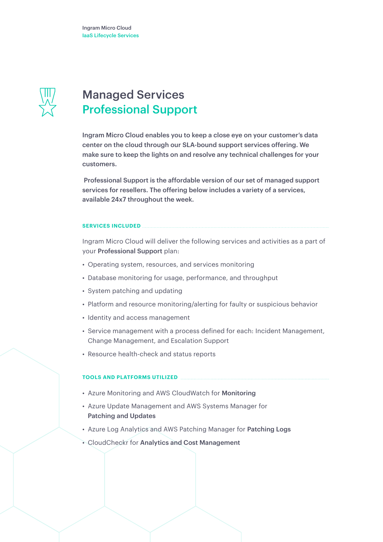

### Managed Services Professional Support

Ingram Micro Cloud enables you to keep a close eye on your customer's data center on the cloud through our SLA-bound support services offering. We make sure to keep the lights on and resolve any technical challenges for your customers.

Professional Support is the affordable version of our set of managed support services for resellers. The offering below includes a variety of a services, available 24x7 throughout the week.

#### **SERVICES INCLUDED**

Ingram Micro Cloud will deliver the following services and activities as a part of your Professional Support plan:

- Operating system, resources, and services monitoring
- Database monitoring for usage, performance, and throughput
- System patching and updating
- Platform and resource monitoring/alerting for faulty or suspicious behavior
- Identity and access management
- Service management with a process defined for each: Incident Management, Change Management, and Escalation Support
- Resource health-check and status reports

#### **TOOLS AND PLATFORMS UTILIZED**

- Azure Monitoring and AWS CloudWatch for Monitoring
- Azure Update Management and AWS Systems Manager for Patching and Updates
- Azure Log Analytics and AWS Patching Manager for Patching Logs
- CloudCheckr for Analytics and Cost Management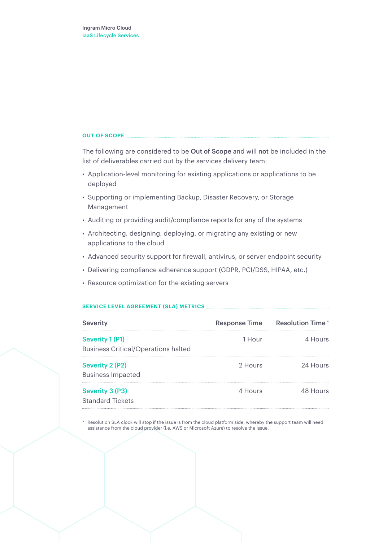#### **OUT OF SCOPE**

The following are considered to be Out of Scope and will not be included in the list of deliverables carried out by the services delivery team:

- Application-level monitoring for existing applications or applications to be deployed
- Supporting or implementing Backup, Disaster Recovery, or Storage Management
- Auditing or providing audit/compliance reports for any of the systems
- Architecting, designing, deploying, or migrating any existing or new applications to the cloud
- Advanced security support for firewall, antivirus, or server endpoint security
- Delivering compliance adherence support (GDPR, PCI/DSS, HIPAA, etc.)
- Resource optimization for the existing servers

#### **SERVICE LEVEL AGREEMENT (SLA) METRICS**

| <b>Severity</b>                                               | <b>Response Time</b> | <b>Resolution Time*</b> |
|---------------------------------------------------------------|----------------------|-------------------------|
| Severity 1 (P1)<br><b>Business Critical/Operations halted</b> | 1 Hour               | 4 Hours                 |
| <b>Severity 2 (P2)</b><br><b>Business Impacted</b>            | 2 Hours              | 24 Hours                |
| <b>Severity 3 (P3)</b><br><b>Standard Tickets</b>             | 4 Hours              | 48 Hours                |

Resolution SLA clock will stop if the issue is from the cloud platform side, whereby the support team will need assistance from the cloud provider (i.e. AWS or Microsoft Azure) to resolve the issue.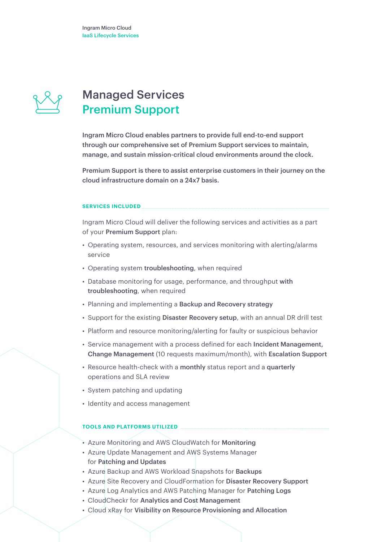

### Managed Services Premium Support

Ingram Micro Cloud enables partners to provide full end-to-end support through our comprehensive set of Premium Support services to maintain, manage, and sustain mission-critical cloud environments around the clock.

Premium Support is there to assist enterprise customers in their journey on the cloud infrastructure domain on a 24x7 basis.

#### **SERVICES INCLUDED**

Ingram Micro Cloud will deliver the following services and activities as a part of your Premium Support plan:

- Operating system, resources, and services monitoring with alerting/alarms service
- Operating system troubleshooting, when required
- Database monitoring for usage, performance, and throughput with troubleshooting, when required
- Planning and implementing a Backup and Recovery strategy
- Support for the existing Disaster Recovery setup, with an annual DR drill test
- Platform and resource monitoring/alerting for faulty or suspicious behavior
- Service management with a process defined for each Incident Management, Change Management (10 requests maximum/month), with Escalation Support
- Resource health-check with a monthly status report and a quarterly operations and SLA review
- System patching and updating
- Identity and access management

#### **TOOLS AND PLATFORMS UTILIZED**

- Azure Monitoring and AWS CloudWatch for Monitoring
- Azure Update Management and AWS Systems Manager for Patching and Updates
- Azure Backup and AWS Workload Snapshots for Backups
- Azure Site Recovery and CloudFormation for Disaster Recovery Support
- Azure Log Analytics and AWS Patching Manager for Patching Logs
- CloudCheckr for Analytics and Cost Management
- Cloud xRay for Visibility on Resource Provisioning and Allocation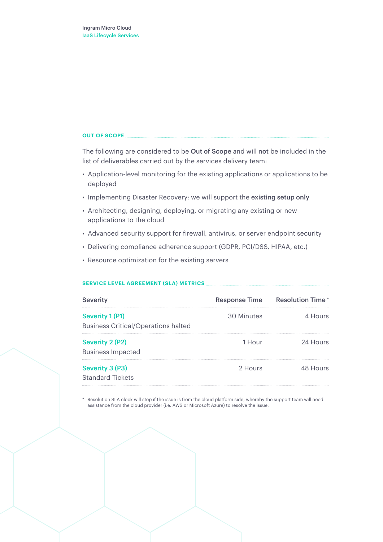#### **OUT OF SCOPE**

The following are considered to be Out of Scope and will not be included in the list of deliverables carried out by the services delivery team:

- Application-level monitoring for the existing applications or applications to be deployed
- Implementing Disaster Recovery; we will support the existing setup only
- Architecting, designing, deploying, or migrating any existing or new applications to the cloud
- Advanced security support for firewall, antivirus, or server endpoint security
- Delivering compliance adherence support (GDPR, PCI/DSS, HIPAA, etc.)
- Resource optimization for the existing servers

#### **SERVICE LEVEL AGREEMENT (SLA) METRICS**

| <b>Severity</b>                                                      | <b>Response Time</b> | <b>Resolution Time*</b> |
|----------------------------------------------------------------------|----------------------|-------------------------|
| <b>Severity 1 (P1)</b><br><b>Business Critical/Operations halted</b> | 30 Minutes           | 4 Hours                 |
| Severity 2 (P2)<br><b>Business Impacted</b>                          | 1 Hour               | 24 Hours                |
| Severity 3 (P3)<br><b>Standard Tickets</b>                           | 2 Hours              | 48 Hours                |

\* Resolution SLA clock will stop if the issue is from the cloud platform side, whereby the support team will need assistance from the cloud provider (i.e. AWS or Microsoft Azure) to resolve the issue.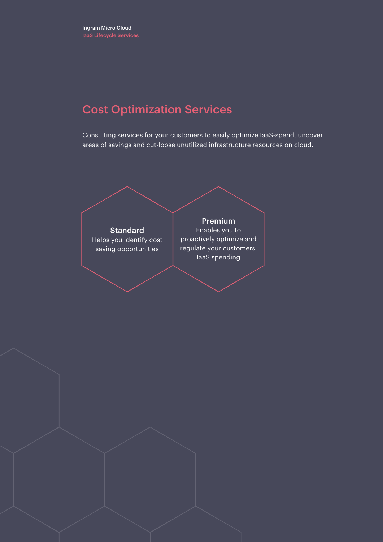### Cost Optimization Services

Consulting services for your customers to easily optimize IaaS-spend, uncover areas of savings and cut-loose unutilized infrastructure resources on cloud.

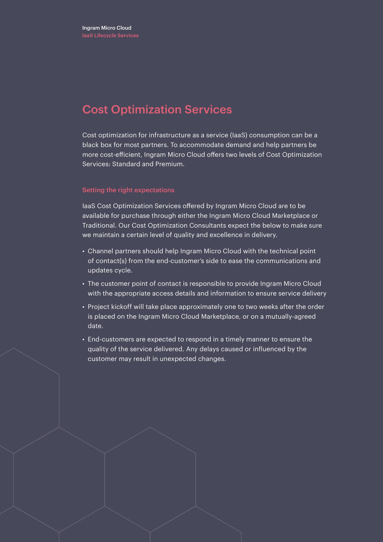### Cost Optimization Services

Cost optimization for infrastructure as a service (IaaS) consumption can be a black box for most partners. To accommodate demand and help partners be more cost-efficient, Ingram Micro Cloud offers two levels of Cost Optimization Services: Standard and Premium.

#### Setting the right expectations

IaaS Cost Optimization Services offered by Ingram Micro Cloud are to be available for purchase through either the Ingram Micro Cloud Marketplace or Traditional. Our Cost Optimization Consultants expect the below to make sure we maintain a certain level of quality and excellence in delivery.

- Channel partners should help Ingram Micro Cloud with the technical point of contact(s) from the end-customer's side to ease the communications and updates cycle.
- The customer point of contact is responsible to provide Ingram Micro Cloud with the appropriate access details and information to ensure service delivery
- Project kickoff will take place approximately one to two weeks after the order is placed on the Ingram Micro Cloud Marketplace, or on a mutually-agreed date.
- End-customers are expected to respond in a timely manner to ensure the quality of the service delivered. Any delays caused or influenced by the customer may result in unexpected changes.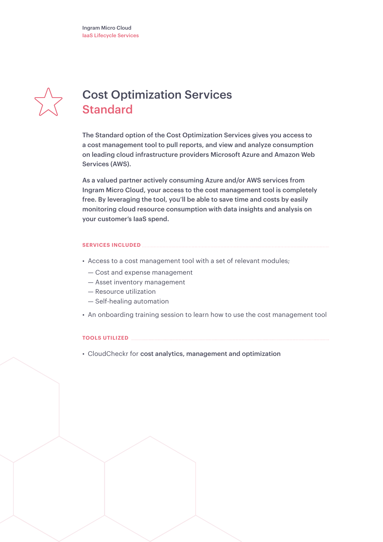

## Cost Optimization Services Standard

The Standard option of the Cost Optimization Services gives you access to a cost management tool to pull reports, and view and analyze consumption on leading cloud infrastructure providers Microsoft Azure and Amazon Web Services (AWS).

As a valued partner actively consuming Azure and/or AWS services from Ingram Micro Cloud, your access to the cost management tool is completely free. By leveraging the tool, you'll be able to save time and costs by easily monitoring cloud resource consumption with data insights and analysis on your customer's IaaS spend.

#### **SERVICES INCLUDED**

- Access to a cost management tool with a set of relevant modules;
	- Cost and expense management
	- Asset inventory management
	- Resource utilization
	- Self-healing automation
- An onboarding training session to learn how to use the cost management tool

#### **TOOLS UTILIZED**

• CloudCheckr for cost analytics, management and optimization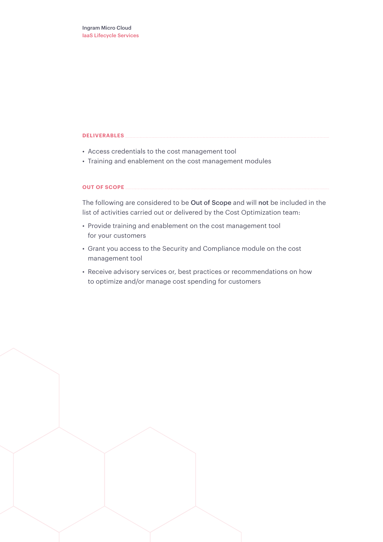- Access credentials to the cost management tool
- Training and enablement on the cost management modules

#### **OUT OF SCOPE**

The following are considered to be Out of Scope and will not be included in the list of activities carried out or delivered by the Cost Optimization team:

- Provide training and enablement on the cost management tool for your customers
- Grant you access to the Security and Compliance module on the cost management tool
- Receive advisory services or, best practices or recommendations on how to optimize and/or manage cost spending for customers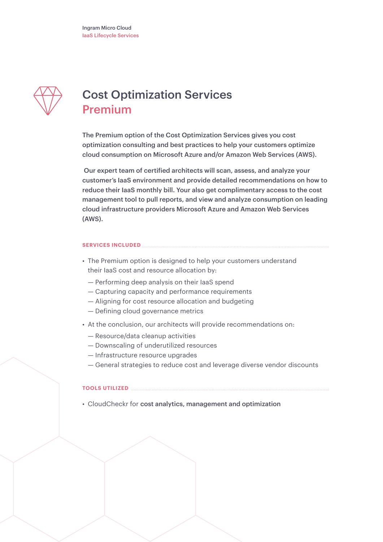

## Cost Optimization Services Premium

The Premium option of the Cost Optimization Services gives you cost optimization consulting and best practices to help your customers optimize cloud consumption on Microsoft Azure and/or Amazon Web Services (AWS).

Our expert team of certified architects will scan, assess, and analyze your customer's IaaS environment and provide detailed recommendations on how to reduce their IaaS monthly bill. Your also get complimentary access to the cost management tool to pull reports, and view and analyze consumption on leading cloud infrastructure providers Microsoft Azure and Amazon Web Services (AWS).

#### **SERVICES INCLUDED**

- The Premium option is designed to help your customers understand their IaaS cost and resource allocation by:
	- Performing deep analysis on their IaaS spend
	- Capturing capacity and performance requirements
	- Aligning for cost resource allocation and budgeting
	- Defining cloud governance metrics
- At the conclusion, our architects will provide recommendations on:
	- Resource/data cleanup activities
	- Downscaling of underutilized resources
	- Infrastructure resource upgrades
	- General strategies to reduce cost and leverage diverse vendor discounts

#### **TOOLS UTILIZED**

• CloudCheckr for cost analytics, management and optimization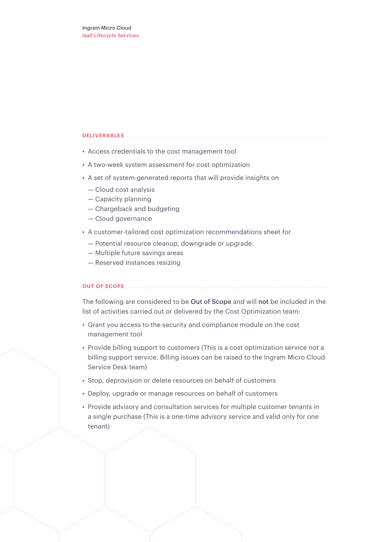- Access credentials to the cost management tool
- A two-week system assessment for cost optimization
- A set of system-generated reports that will provide insights on
	- Cloud cost analysis
	- Capacity planning
	- Chargeback and budgeting
	- Cloud governance
- A customer-tailored cost optimization recommendations sheet for
	- Potential resource cleanup, downgrade or upgrade.
	- Multiple future savings areas
	- Reserved Instances resizing

#### **OUT OF SCOPE**

The following are considered to be Out of Scope and will not be included in the list of activities carried out or delivered by the Cost Optimization team:

- Grant you access to the security and compliance module on the cost management tool
- Provide billing support to customers (This is a cost optimization service not a billing support service. Billing issues can be raised to the Ingram Micro Cloud Service Desk team)
- Stop, deprovision or delete resources on behalf of customers
- Deploy, upgrade or manage resources on behalf of customers
- Provide advisory and consultation services for multiple customer tenants in a single purchase (This is a one-time advisory service and valid only for one tenant)